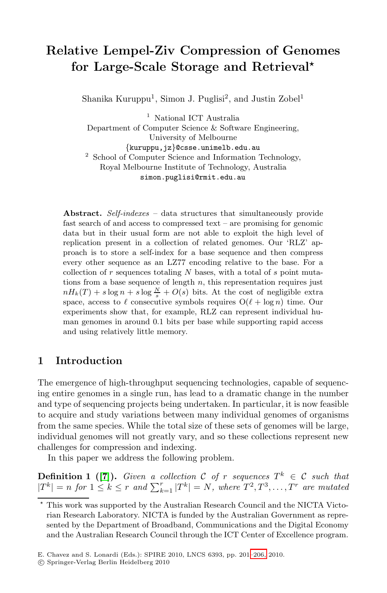# **Relative Lempel-Ziv Compression of Genomes for Large-Scale Storage and Retrieval***-*

Shanika Kuruppu<sup>1</sup>, Simon J. Puglisi<sup>2</sup>, and Justin Zobel<sup>1</sup>

<sup>1</sup> National ICT Australia Department of Computer Science & Software Engineering, University of Melbourne<br>{kuruppu,jz}@csse.unimelb.edu.au <sup>2</sup> School of Computer Science and Information Technology, Royal Melbourne Institute of Technology, Australia simon.puglisi@rmit.edu.au

**Abstract.** *Self-indexes* – data structures that simultaneously provide fast search of and access to compressed text – are promising for genomic data but in their usual form are not able to exploit the high level of replication present in a collection of related genomes. Our 'RLZ' approach is to store a self-index for a base sequence and then compress every other sequence as an LZ77 encoding relative to the base. For a collection of  $r$  sequences totaling  $N$  bases, with a total of  $s$  point mutations from a base sequence of length  $n$ , this representation requires just  $nH_k(T) + s \log n + s \log \frac{N}{s} + O(s)$  bits. At the cost of negligible extra space, access to  $\ell$  consecutive symbols requires  $O(\ell + \log n)$  time. Our experiments show that, for example, RLZ can represent individual human genomes in around 0.1 bits per base while supporting rapid access and using relatively little memory.

# **1 Introduction**

The emergence of high-throughput sequencing technologies, capable of sequencing entire genomes in a single run, has lead to a dramatic change in the number and type of sequencing projects being undertaken. In particular, it is now feasible to acquire and study variations between many individual genomes of organisms from the same species. While the total size of these sets of genomes will be large, individual genomes will not greatly vary, and so these collections represent new challenges for compression and indexing.

In this paper we address the following problem.

**Definition 1** ([7]). *Given a coll[ection](#page-5-0)* C *of* r *sequences*  $T^k \in \mathcal{C}$  *such that*  $|T^k| = n$  for  $1 \leq k \leq r$  and  $\sum_{k=1}^r |T^k| = N$ , where  $T^2, T^3, \ldots, T^r$  are mutated

<sup>\*</sup> This work was supported by the Australian Research Council and the NICTA Victorian Research Laboratory. NICTA is funded by the Australian Government as represented by the Department of Broadband, Communications and the Digital Economy and the Australian Research Council through the ICT Center of Excellence program.

E. Chavez and S. Lonardi (Eds.): SPIRE 2010, LNCS 6393, pp. 201–206, 2010.

<sup>-</sup>c Springer-Verlag Berlin Heidelberg 2010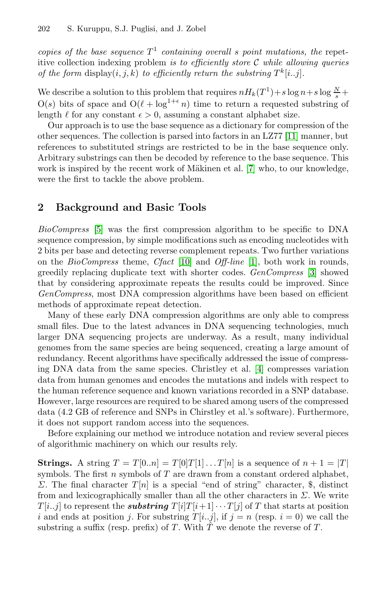#### 202 S. Kuruppu, S.J. Puglisi, and J. Zobel

*copies of the base sequence*  $T^1$  *containing o[vera](#page-5-1)ll s point mutations, the* repetitive collection indexing problem *is to efficiently store* C *while allowing queries of the form* display $(i, j, k)$  *to efficiently return the substring*  $T^k[i..j]$ *.* 

We describe a solution to this prob[lem](#page-5-2) that requires  $nH_k(T^1) + s \log n + s \log \frac{N}{s} +$  $O(s)$  bits of space and  $O(\ell + \log^{1+\epsilon} n)$  time to return a requested substring of length  $\ell$  for any constant  $\epsilon > 0$ , assuming a constant alphabet size.

Our approach is to use the base sequence as a dictionary for compression of the other sequences. The collection is parsed into factors in an LZ77 [11] manner, but references to substituted strings are restricted to be in the base sequence only. Arbitrary substrings can then be decoded by reference to the base sequence. This work is inspired by the recent work of Mäkinen et al. [7] who, to our knowledge, were the first to [tack](#page-5-3)le the above p[ro](#page-5-4)blem.

# **2 Background and Basic Tools**

*BioCompress* [5] was the first compression algorithm to be specific to DNA sequence compression, by simple modifications such as encoding nucleotides with 2 bits per base and detecting reverse complement repeats. Two further variations on the *BioCompress* theme, *Cfact* [10] and *Off-line* [1], both work in rounds, greedily replacing duplicate text with shorter codes. *GenCompress* [3] showed that by considering approximate re[pea](#page-5-5)ts the results could be improved. Since *GenCompress*, most DNA compression algorithms have been based on efficient methods of approximate repeat detection.

Many of these early DNA compression algorithms are only able to compress small files. Due to the latest advances in DNA sequencing technologies, much larger DNA sequencing projects are underway. As a result, many individual genomes from the same species are being sequenced, creating a large amount of redundancy. Recent algorithms have specifically addressed the issue of compressing DNA data from the same species. Christley et al. [4] compresses variation data from human genomes and encodes the mutations and indels with respect to the human reference sequence and known variations recorded in a SNP database. However, large resources are required to be shared among users of the compressed data (4.2 GB of reference and SNPs in Chirstley et al.'s software). Furthermore, it does not support random access into the sequences.

Before explaining our method we introduce notation and review several pieces of algorithmic machinery on which our results rely.

**Strings.** A string  $T = T[0..n] = T[0]T[1]...T[n]$  is a sequence of  $n + 1 = |T|$ symbols. The first n symbols of  $T$  are drawn from a constant ordered alphabet, Σ. The final character  $T[n]$  is a special "end of string" character, \$, distinct from and lexicographically smaller than all the other characters in  $\Sigma$ . We write  $T[i..j]$  to represent the *substring*  $T[i]T[i+1]\cdots T[j]$  of T that starts at position i and ends at position j. For substring  $T[i..j]$ , if  $j = n$  (resp.  $i = 0$ ) we call the substring a suffix (resp. prefix) of T. With  $\hat{T}$  we denote the reverse of T.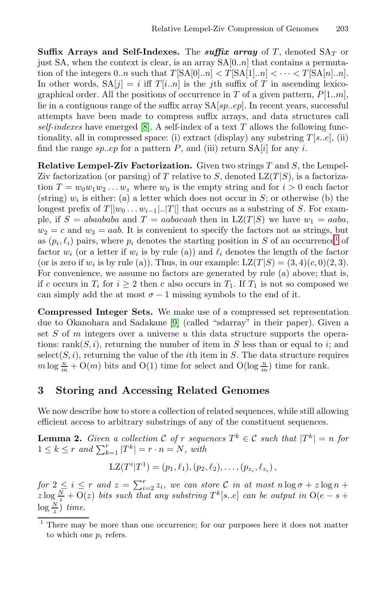**Suffix [A](#page-5-6)rrays and Self-Indexes.** The *suffix array* of T, denoted  $SA<sub>T</sub>$  or just SA, when the context is clear, is an array  $SA[0..n]$  that contains a permutation of the integers  $0..n$  such that  $T[\text{SA}[0..n] < T[\text{SA}[1..n] < \cdots < T[\text{SA}[n]..n].$ In other words,  $SA[i] = i$  iff  $T[i..n]$  is the *j*th suffix of T in ascending lexicographical order. All the positions of occurrence in T of a given pattern,  $P[1..m]$ , lie in a contiguous range of the suffix array  $SA[sp..ep]$ . In recent years, successful attempts have been made to compress suffix arrays, and data structures call *self-indexes* have emerged [8]. A self-index of a text T allows the following functionality, all in compressed space: (i) extract (display) any substring  $T[s..e]$ , (ii) find the range  $sp. .ep$  for a pattern  $P$ , and (iii) return  $SA[i]$  $SA[i]$  $SA[i]$  for any i.

**Relative Lempel-Ziv Factorization.** Given two strings T and S, the Lempel-Ziv factorization (or parsing) of T relative to S, denoted  $LZ(T|S)$ , is a factorization  $T = w_0w_1w_2...w_z$  where  $w_0$  is the empty string and for  $i > 0$  each factor (string)  $w_i$  is either: (a) a letter which does not occur in S; or otherwise (b) the longest prefix of  $T[[w_0 \dots w_{i-1}...]T]]$  that occurs as a substring of S. For example, if  $S = abaababa$  and  $T = aabacaab$  then in  $LZ(T|S)$  we have  $w_1 = aaba$ ,  $w_2 = c$  and  $w_3 = aab$ . It is convenient to specify the factors not as strings, but as  $(p_i, \ell_i)$  pairs[, w](#page-5-7)here  $p_i$  denotes the starting position in S of an occurrence<sup>1</sup> of factor  $w_i$  (or a letter if  $w_i$  is by rule (a)) and  $\ell_i$  denotes the length of the factor (or is zero if  $w_i$  is by rule (a)). Thus, in our example:  $LZ(T|S) = (3, 4)(c, 0)(2, 3)$ . For convenience, we assume no factors are generated by rule (a) above; that is, if c occurs in  $T_i$  for  $i \geq 2$  then c also occurs in  $T_1$ . If  $T_1$  is not so composed we can simply add the at most  $\sigma - 1$  missing symbols to the end of it.

**Compressed Integer Sets.** We make use of a compressed set representation due to Okanohara and Sadakane [9] (called "sdarray" in their paper). Given a set  $S$  of  $m$  integers over a universe  $u$  this data structure supports the operations: rank $(S, i)$ , returning the number of item in S less than or equal to i; and  $select(S, i)$ , returning the value of the *i*th item in S. The data structure requires  $m \log \frac{u}{m} + O(m)$  bits and  $O(1)$  time for select and  $O(\log \frac{u}{m})$  time for rank.

## **3 Storing and Accessing Related Genomes**

We now describe how to store a collection of related sequences, while still allowing efficient access to arbitrary substrings of any of the constituent sequences.

<span id="page-2-0"></span>**Lemma 2.** *Given a collection*  $C$  *of*  $r$  *sequences*  $T^k \in C$  *such that*  $|T^k| = n$  *for*  $1 \leq k \leq r$  and  $\sum_{k=1}^{r} |T^k| = r \cdot n = N$ , with

$$
LZ(T^{i}|T^{1}) = (p_{1}, \ell_{1}), (p_{2}, \ell_{2}), \ldots, (p_{z_{i}}, \ell_{z_{i}}),
$$

*for*  $2 \leq i \leq r$  *and*  $z = \sum_{i=2}^{r} z_i$ *, we can store* C *in at most*  $n \log \sigma + z \log n + z$  $z \log \frac{N}{z} + O(z)$  *bits such that any substring*  $T^k[s..e]$  *can be output in*  $O(e-s+1)$  $log \frac{N}{z}$ ) *time.* 

<sup>1</sup> There may be more than one occurrence; for our purposes here it does not matter to which one  $p_i$  refers.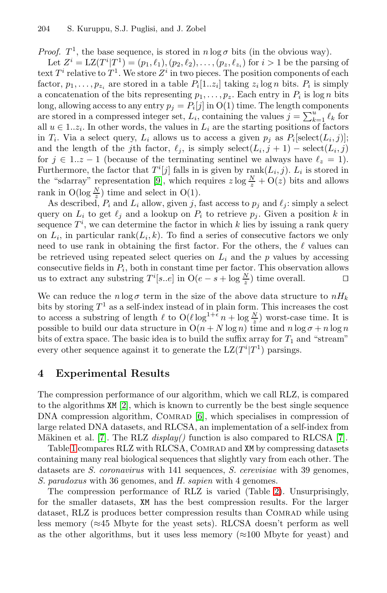#### 204 S. Kuruppu, S.J. Puglisi, and J. Zobel

*Proof.*  $T^1$ , the base sequence, is stored in  $n \log \sigma$  bits (in the obvious way).

Let  $Z^i = \text{LZ}(T^i | T^1) = (p_1, \ell_1), (p_2, \ell_2), \ldots, (p_z, \ell_{z_i})$  for  $i > 1$  be the parsing of text  $T^i$  relative to  $T^1$ . We store  $Z^i$  in two pieces. The position components of each factor,  $p_1, \ldots, p_{z_i}$  are stored in a table  $P_i[1..z_i]$  taking  $z_i \log n$  bits.  $P_i$  is simply a conc[at](#page-5-7)enation of the bits representing  $p_1, \ldots, p_z$ . Each entry in  $P_i$  is log n bits long, allowing access to any entry  $p_i = P_i[j]$  in  $O(1)$  time. The length components are stored in a compressed integer set,  $L_i$ , containing the values  $j = \sum_{k=1}^{u} \ell_k$  for all  $u \in 1..z_i$ . In other words, the values in  $L_i$  are the starting positions of factors in  $T_i$ . Via a select query,  $L_i$  allows us to access a given  $p_j$  as  $P_i[\text{select}(L_i, j)];$ and the length of the jth factor,  $\ell_j$ , is simply  $\mathrm{select}(L_i, j + 1) - \mathrm{select}(L_i, j)$ for  $j \in 1..z-1$  (because of the terminating sentinel we always have  $\ell_z = 1$ ). Furthermore, the factor that  $T^{i}[j]$  falls in is given by rank $(L_{i}, j)$ .  $L_{i}$  is stored in the "sdarray" representation [9], which requires  $z \log \frac{N}{z} + O(z)$  bits and allows rank in  $O(\log \frac{N}{z})$  time and select in  $O(1)$ .

As described,  $P_i$  and  $L_i$  allow, given j, fast access to  $p_j$  and  $\ell_j$ : simply a select query on  $L_i$  to get  $\ell_j$  and a lookup on  $P_i$  to retrieve  $p_j$ . Given a position k in sequence  $T^i$ , we can determine the factor in which k lies by issuing a rank query on  $L_i$ , in particular rank $(L_i, k)$ . To find a series of consecutive factors we only need to use rank in obtaining the first factor. For the others, the  $\ell$  values can be retrieved using repeated select queries on  $L_i$  and the p values by accessing consecutive fields in  $P_i$ , both in constant time per factor. This observation allows us to extract any substring  $T^i[s..e]$  in  $O(e-s + \log \frac{N}{z})$  time overall.

We can reduce the  $n \log \sigma$  term in the size of the above data structure to  $nH_k$ bits by storing  $T<sup>1</sup>$  as a self-index instead of in plain form. This increases the cost to [a](#page-5-8)ccess a substring of length  $\ell$  to  $O(\ell \log^{1+\epsilon} n + \log \frac{N}{z})$  worst-case time. It is possible to build our [da](#page-5-9)ta structure in  $O(n + N \log n)$  time and  $n \log \sigma + n \log n$ bits of extra space. The basic idea is to build the suffix array for  $T_1$  and "stream" every other sequence against it to generate the  $LZ(T^i|T^1)$  parsings.

# **4 Experimental Results**

The compression performance of our algorithm, which we call RLZ, is compared to the algorithms XM [2], which is known t[o](#page-4-0) currently be the best single sequence DNA compression algorithm, COMRAD [6], which specialises in compression of large related DNA datasets, and RLCSA, an implementation of a self-index from Mäkinen et al. [7]. The RLZ *display()* function is also compared to RLCSA [7].

Table 1 compares RLZ with RLCSA, COMRAD and XM by compressing datasets containing many real biological sequences that slightly vary from each other. The datasets are *S. coronavirus* with 141 sequences, *S. cerevisiae* with 39 genomes, *S. paradoxus* with 36 genomes, and *H. sapien* with 4 genomes.

The compression performance of RLZ is varied (Table 2). Unsurprisingly, for the smaller datasets, XM has the best compression results. For the larger dataset, RLZ is produces better compression results than COMRAD while using less memory ( $\approx$ 45 Mbyte for the yeast sets). RLCSA doesn't perform as well as the other algorithms, but it uses less memory  $(\approx 100$  Mbyte for yeast) and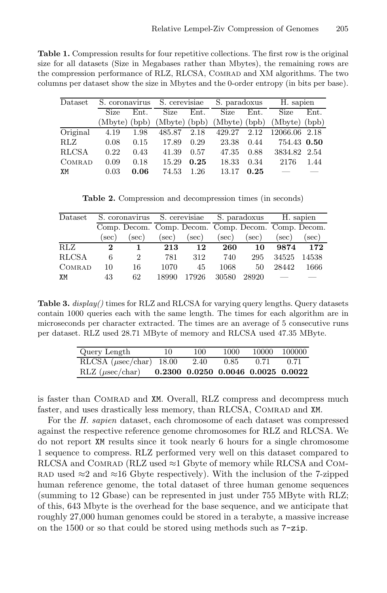**Table 1.** Compression results for four repetitive collections. The first row is the original size for all datasets (Size in Megabases rather than Mbytes), the remaining rows are the compression performance of RLZ, RLCSA, COMRAD and XM algorithms. The two columns per dataset show the size in Mbytes and the 0-order entropy (in bits per base).

| Dataset      | S. coronavirus S. cerevisiae |      |               |      | S. paradoxus    |      | H. sapien       |      |
|--------------|------------------------------|------|---------------|------|-----------------|------|-----------------|------|
|              | <b>Size</b>                  | Ent. | Size          | Ent. | <b>Size</b>     | Ent. | <b>Size</b>     | Ent. |
|              | (Mbyte) (bpb)                |      | (Mbyte) (bpb) |      | $(Mbyte)$ (bpb) |      | $(Mbyte)$ (bpb) |      |
| Original     | 4.19                         | 1.98 | 485.87        | 2.18 | 429.27          | 2.12 | 12066.06 2.18   |      |
| <b>RLZ</b>   | 0.08                         | 0.15 | 17.89         | 0.29 | 23.38           | 0.44 | 754.43 0.50     |      |
| <b>RLCSA</b> | 0.22                         | 0.43 | 41.39         | 0.57 | 47.35           | 0.88 | 3834.82 2.54    |      |
| COMRAD       | 0.09                         | 0.18 | 15.29         | 0.25 | 18.33           | 0.34 | 2176            | 1.44 |
| XM           | 0.03                         | 0.06 | 74.53         | 1.26 | 13.17           | 0.25 |                 |      |

<span id="page-4-0"></span>**Table 2.** Compression and decompression times (in seconds)

| Dataset      |      |                                                     | S. coronavirus S. cerevisiae |          | S. paradoxus |       | H. sapien |          |
|--------------|------|-----------------------------------------------------|------------------------------|----------|--------------|-------|-----------|----------|
|              |      | Comp. Decom. Comp. Decom. Comp. Decom. Comp. Decom. |                              |          |              |       |           |          |
|              | sec) | $(\sec)$                                            | sec)                         | $(\sec)$ | sec)         | (sec) | sec)      | $(\sec)$ |
| <b>RLZ</b>   | 2    |                                                     | 213                          | 12       | 260          | 10    | 9874      | 172      |
| <b>RLCSA</b> | 6    | 2                                                   | 781                          | 312      | 740          | 295   | 34525     | 14538    |
| COMRAD       | 10   | 16                                                  | 1070                         | 45       | 1068         | 50    | 28442     | 1666     |
| XM           | 43   | 62                                                  | 18990                        | 17926    | 30580        | 28920 |           |          |

**Table 3.** *display()* times for RLZ and RLCSA for varying query lengths. Query datasets contain 1000 queries each with the same length. The times for each algorithm are in microseconds per character extracted. The times are an average of 5 consecutive runs per dataset. RLZ used 28.71 MByte of memory and RLCSA used 47.35 MByte.

| Query Length                               | 10 | 100                                | 1000 | 10000 | 100000 |
|--------------------------------------------|----|------------------------------------|------|-------|--------|
| RLCSA $(\mu \text{sec}/\text{char})$ 18.00 |    | 2.40                               | 0.85 | 0.71  | 0.71   |
| $RLZ$ ( $\mu$ sec/char)                    |    | 0.2300 0.0250 0.0046 0.0025 0.0022 |      |       |        |

is faster than Comrad and XM. Overall, RLZ compress and decompress much faster, and uses drastically less memory, than RLCSA, COMRAD and XM.

For the *H. sapien* dataset, each chromosome of each dataset was compressed against the respective reference genome chromosomes for RLZ and RLCSA. We do not report XM results since it took nearly 6 hours for a single chromosome 1 sequence to compress. RLZ performed very well on this dataset compared to RLCSA and COMRAD (RLZ used  $\approx$ 1 Gbyte of memory while RLCSA and COM-RAD used  $\approx$ 2 and  $\approx$ 16 Gbyte respectively). With the inclusion of the 7-zipped human reference genome, the total dataset of three human genome sequences (summing to 12 Gbase) can be represented in just under 755 MByte with RLZ; of this, 643 Mbyte is the overhead for the base sequence, and we anticipate that roughly 27,000 human genomes could be stored in a terabyte, a massive increase on the 1500 or so that could be stored using methods such as 7-zip.